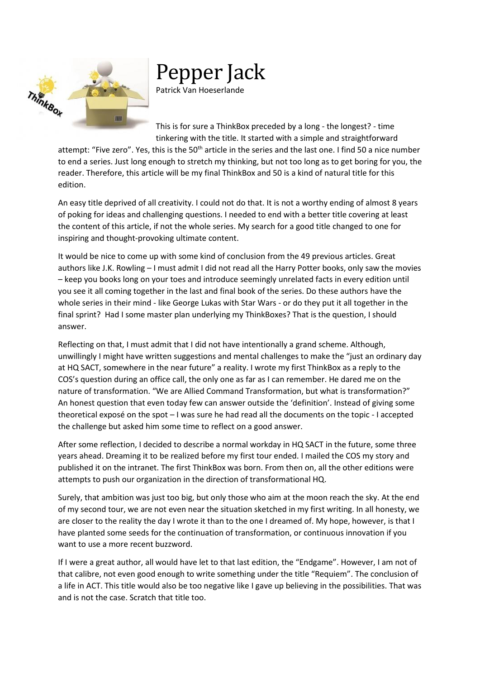

## Pepper Jack

Patrick Van Hoeserlande

This is for sure a ThinkBox preceded by a long - the longest? - time tinkering with the title. It started with a simple and straightforward

attempt: "Five zero". Yes, this is the 50<sup>th</sup> article in the series and the last one. I find 50 a nice number to end a series. Just long enough to stretch my thinking, but not too long as to get boring for you, the reader. Therefore, this article will be my final ThinkBox and 50 is a kind of natural title for this edition.

An easy title deprived of all creativity. I could not do that. It is not a worthy ending of almost 8 years of poking for ideas and challenging questions. I needed to end with a better title covering at least the content of this article, if not the whole series. My search for a good title changed to one for inspiring and thought-provoking ultimate content.

It would be nice to come up with some kind of conclusion from the 49 previous articles. Great authors like J.K. Rowling – I must admit I did not read all the Harry Potter books, only saw the movies – keep you books long on your toes and introduce seemingly unrelated facts in every edition until you see it all coming together in the last and final book of the series. Do these authors have the whole series in their mind - like George Lukas with Star Wars - or do they put it all together in the final sprint? Had I some master plan underlying my ThinkBoxes? That is the question, I should answer.

Reflecting on that, I must admit that I did not have intentionally a grand scheme. Although, unwillingly I might have written suggestions and mental challenges to make the "just an ordinary day at HQ SACT, somewhere in the near future" a reality. I wrote my first ThinkBox as a reply to the COS's question during an office call, the only one as far as I can remember. He dared me on the nature of transformation. "We are Allied Command Transformation, but what is transformation?" An honest question that even today few can answer outside the 'definition'. Instead of giving some theoretical exposé on the spot – I was sure he had read all the documents on the topic - I accepted the challenge but asked him some time to reflect on a good answer.

After some reflection, I decided to describe a normal workday in HQ SACT in the future, some three years ahead. Dreaming it to be realized before my first tour ended. I mailed the COS my story and published it on the intranet. The first ThinkBox was born. From then on, all the other editions were attempts to push our organization in the direction of transformational HQ.

Surely, that ambition was just too big, but only those who aim at the moon reach the sky. At the end of my second tour, we are not even near the situation sketched in my first writing. In all honesty, we are closer to the reality the day I wrote it than to the one I dreamed of. My hope, however, is that I have planted some seeds for the continuation of transformation, or continuous innovation if you want to use a more recent buzzword.

If I were a great author, all would have let to that last edition, the "Endgame". However, I am not of that calibre, not even good enough to write something under the title "Requiem". The conclusion of a life in ACT. This title would also be too negative like I gave up believing in the possibilities. That was and is not the case. Scratch that title too.